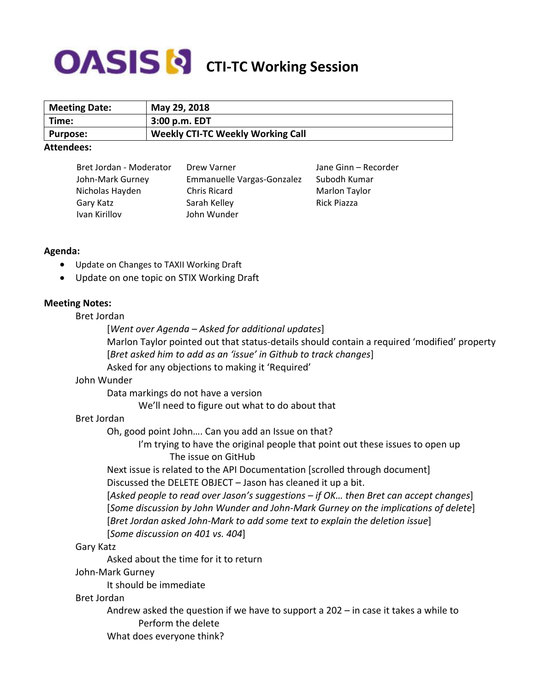# **COASIS S** CTI-TC Working Session

| <b>Meeting Date:</b> | May 29, 2018                             |
|----------------------|------------------------------------------|
| Time:                | 3:00 p.m. EDT                            |
| <b>Purpose:</b>      | <b>Weekly CTI-TC Weekly Working Call</b> |
|                      |                                          |

#### **Attendees:**

| Bret Jordan - Moderator | Drew Varner                | Jane Ginn - Recorder |
|-------------------------|----------------------------|----------------------|
| John-Mark Gurney        | Emmanuelle Vargas-Gonzalez | Subodh Kumar         |
| Nicholas Hayden         | <b>Chris Ricard</b>        | Marlon Taylor        |
| Gary Katz               | Sarah Kelley               | Rick Piazza          |
| Ivan Kirillov           | John Wunder                |                      |

## **Agenda:**

- Update on Changes to TAXII Working Draft
- Update on one topic on STIX Working Draft

## **Meeting Notes:**

## Bret Jordan

- [*Went over Agenda – Asked for additional updates*] Marlon Taylor pointed out that status-details should contain a required 'modified' property
- [*Bret asked him to add as an 'issue' in Github to track changes*]
- Asked for any objections to making it 'Required'

## John Wunder

Data markings do not have a version

We'll need to figure out what to do about that

## Bret Jordan

Oh, good point John…. Can you add an Issue on that?

I'm trying to have the original people that point out these issues to open up The issue on GitHub

Next issue is related to the API Documentation [scrolled through document] Discussed the DELETE OBJECT – Jason has cleaned it up a bit.

[*Asked people to read over Jason's suggestions – if OK… then Bret can accept changes*] [*Some discussion by John Wunder and John-Mark Gurney on the implications of delete*] [*Bret Jordan asked John-Mark to add some text to explain the deletion issue*]

[*Some discussion on 401 vs. 404*]

## Gary Katz

Asked about the time for it to return

## John-Mark Gurney

It should be immediate

## Bret Jordan

Andrew asked the question if we have to support a 202 – in case it takes a while to Perform the delete

What does everyone think?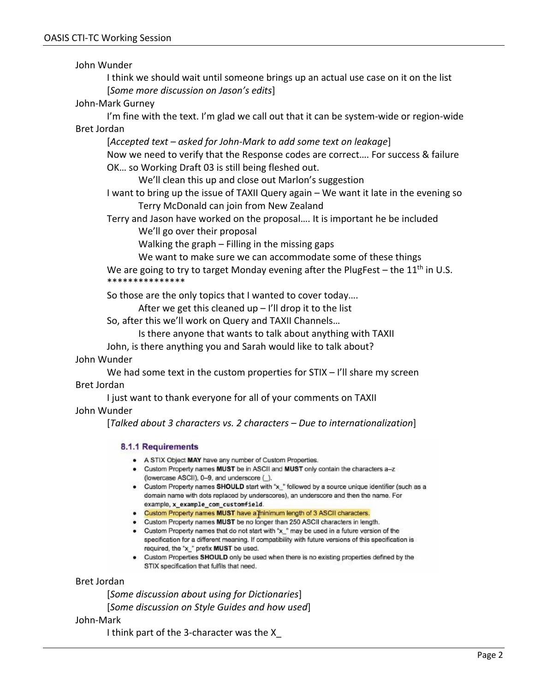John Wunder

I think we should wait until someone brings up an actual use case on it on the list [*Some more discussion on Jason's edits*]

## John-Mark Gurney

I'm fine with the text. I'm glad we call out that it can be system-wide or region-wide Bret Jordan

[*Accepted text – asked for John-Mark to add some text on leakage*]

Now we need to verify that the Response codes are correct…. For success & failure OK… so Working Draft 03 is still being fleshed out.

We'll clean this up and close out Marlon's suggestion

I want to bring up the issue of TAXII Query again – We want it late in the evening so Terry McDonald can join from New Zealand

Terry and Jason have worked on the proposal…. It is important he be included We'll go over their proposal

Walking the graph – Filling in the missing gaps

We want to make sure we can accommodate some of these things

We are going to try to target Monday evening after the PlugFest  $-$  the 11<sup>th</sup> in U.S. \*\*\*\*\*\*\*\*\*\*\*\*\*\*\*

So those are the only topics that I wanted to cover today….

After we get this cleaned up  $-1$ 'll drop it to the list

So, after this we'll work on Query and TAXII Channels…

Is there anyone that wants to talk about anything with TAXII

John, is there anything you and Sarah would like to talk about?

## John Wunder

We had some text in the custom properties for  $STIX - I'll$  share my screen Bret Jordan

I just want to thank everyone for all of your comments on TAXII

John Wunder

[*Talked about 3 characters vs. 2 characters – Due to internationalization*]

## 8.1.1 Requirements

- . A STIX Object MAY have any number of Custom Properties.
- Custom Property names MUST be in ASCII and MUST only contain the characters a-z (lowercase ASCII), 0-9, and underscore (),
- Custom Property names SHOULD start with "x\_" followed by a source unique identifier (such as a domain name with dots replaced by underscores), an underscore and then the name. For example, x\_example\_com\_customfield.
- Custom Property names MUST have a minimum length of 3 ASCII characters.
- Custom Property names MUST be no longer than 250 ASCII characters in length.
- Custom Property names that do not start with "x " may be used in a future version of the specification for a different meaning. If compatibility with future versions of this specification is required, the "x\_" prefix MUST be used.
- . Custom Properties SHOULD only be used when there is no existing properties defined by the STIX specification that fulfils that need.

## Bret Jordan

[*Some discussion about using for Dictionaries*] [*Some discussion on Style Guides and how used*]

#### John-Mark

I think part of the 3-character was the X\_